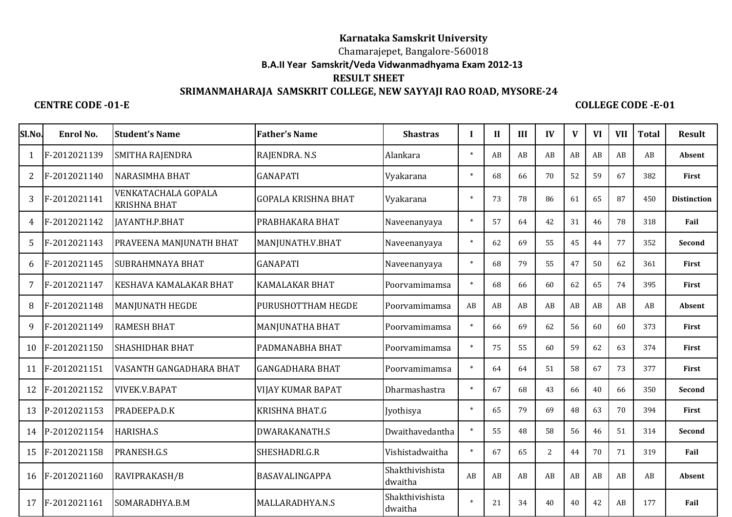## **Karnataka Samskrit University**

Chamarajepet, Bangalore-560018

 **B.A.II Year Samskrit/Veda Vidwanmadhyama Exam 2012-13**

## **RESULT SHEET**

## **SRIMANMAHARAJA SAMSKRIT COLLEGE, NEW SAYYAJI RAO ROAD, MYSORE-24**

 **CENTRE CODE -01-E COLLEGE CODE -E-01**

| Sl.No.         | Enrol No.    | <b>Student's Name</b>                      | <b>Father's Name</b>       | <b>Shastras</b>            | Л      | $\mathbf{H}$ | III                    | IV             | V  | VI | <b>VII</b> | <b>Total</b> | <b>Result</b>      |
|----------------|--------------|--------------------------------------------|----------------------------|----------------------------|--------|--------------|------------------------|----------------|----|----|------------|--------------|--------------------|
| 1              | F-2012021139 | <b>SMITHA RAJENDRA</b>                     | RAJENDRA. N.S              | Alankara                   | $\ast$ | AB           | AB                     | AB             | AB | AB | AB         | AB           | Absent             |
| $\overline{2}$ | F-2012021140 | <b>NARASIMHA BHAT</b>                      | <b>GANAPATI</b>            | Vyakarana                  | $\ast$ | 68           | 66                     | 70             | 52 | 59 | 67         | 382          | First              |
| 3              | F-2012021141 | VENKATACHALA GOPALA<br><b>KRISHNA BHAT</b> | <b>GOPALA KRISHNA BHAT</b> | Vyakarana                  | $\ast$ | 73           | 78                     | 86             | 61 | 65 | 87         | 450          | <b>Distinction</b> |
| 4              | F-2012021142 | JAYANTH.P.BHAT                             | PRABHAKARA BHAT            | Naveenanyaya               | $\ast$ | 57           | 64                     | 42             | 31 | 46 | 78         | 318          | Fail               |
| 5              | F-2012021143 | PRAVEENA MANJUNATH BHAT                    | MANJUNATH.V.BHAT           | Naveenanyaya               | $\ast$ | 62           | 69                     | 55             | 45 | 44 | 77         | 352          | Second             |
| 6              | F-2012021145 | <b>SUBRAHMNAYA BHAT</b>                    | <b>GANAPATI</b>            | Naveenanyaya               | $\ast$ | 68           | 79                     | 55             | 47 | 50 | 62         | 361          | First              |
| 7              | F-2012021147 | KESHAVA KAMALAKAR BHAT                     | <b>KAMALAKAR BHAT</b>      | Poorvamimamsa              | $\ast$ | 68           | 66                     | 60             | 62 | 65 | 74         | 395          | First              |
| 8              | F-2012021148 | <b>MANJUNATH HEGDE</b>                     | PURUSHOTTHAM HEGDE         | Poorvamimamsa              | AB     | AB           | AB                     | AB             | AB | AB | AB         | AB           | Absent             |
| 9              | F-2012021149 | <b>RAMESH BHAT</b>                         | MANJUNATHA BHAT            | Poorvamimamsa              | $\ast$ | 66           | 69                     | 62             | 56 | 60 | 60         | 373          | First              |
| 10             | F-2012021150 | <b>SHASHIDHAR BHAT</b>                     | PADMANABHA BHAT            | Poorvamimamsa              | $\ast$ | 75           | 55                     | 60             | 59 | 62 | 63         | 374          | First              |
| 11             | F-2012021151 | VASANTH GANGADHARA BHAT                    | <b>GANGADHARA BHAT</b>     | Poorvamimamsa              | $\ast$ | 64           | 64                     | 51             | 58 | 67 | 73         | 377          | First              |
| 12             | F-2012021152 | <b>VIVEK.V.BAPAT</b>                       | VIJAY KUMAR BAPAT          | Dharmashastra              | $\ast$ | 67           | 68                     | 43             | 66 | 40 | 66         | 350          | Second             |
| 13             | P-2012021153 | PRADEEPA.D.K                               | KRISHNA BHAT.G             | Jyothisya                  | $\ast$ | 65           | 79                     | 69             | 48 | 63 | 70         | 394          | First              |
| 14             | P-2012021154 | <b>HARISHA.S</b>                           | <b>DWARAKANATH.S</b>       | Dwaithavedantha            | $\ast$ | 55           | 48                     | 58             | 56 | 46 | 51         | 314          | Second             |
| 15             | F-2012021158 | PRANESH.G.S                                | SHESHADRI.G.R              | Vishistadwaitha            | $\ast$ | 67           | 65                     | $\overline{2}$ | 44 | 70 | 71         | 319          | Fail               |
| 16             | F-2012021160 | RAVIPRAKASH/B                              | BASAVALINGAPPA             | Shakthivishista<br>dwaitha | AB     | AB           | $\mathbf{A}\mathbf{B}$ | AB             | AB | AB | AB         | AB           | Absent             |
| 17             | F-2012021161 | SOMARADHYA.B.M                             | MALLARADHYA.N.S            | Shakthivishista<br>dwaitha |        | 21           | 34                     | 40             | 40 | 42 | AB         | 177          | Fail               |